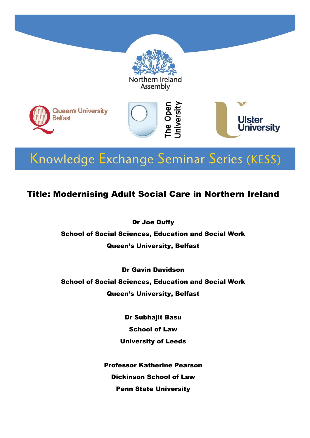

# Knowledge Exchange Seminar Series (KESS)

### Title: Modernising Adult Social Care in Northern Ireland

Dr Joe Duffy

School of Social Sciences, Education and Social Work Queen's University, Belfast

Dr Gavin Davidson School of Social Sciences, Education and Social Work Queen's University, Belfast

> Dr Subhajit Basu School of Law University of Leeds

Professor Katherine Pearson Dickinson School of Law Penn State University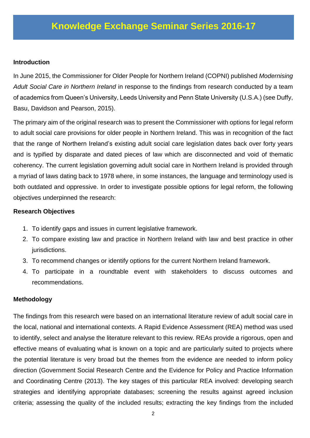#### **Introduction**

In June 2015, the Commissioner for Older People for Northern Ireland (COPNI) published *Modernising Adult Social Care in Northern Ireland* in response to the findings from research conducted by a team of academics from Queen's University, Leeds University and Penn State University (U.S.A.) (see Duffy, Basu, Davidson and Pearson, 2015).

The primary aim of the original research was to present the Commissioner with options for legal reform to adult social care provisions for older people in Northern Ireland. This was in recognition of the fact that the range of Northern Ireland's existing adult social care legislation dates back over forty years and is typified by disparate and dated pieces of law which are disconnected and void of thematic coherency. The current legislation governing adult social care in Northern Ireland is provided through a myriad of laws dating back to 1978 where, in some instances, the language and terminology used is both outdated and oppressive. In order to investigate possible options for legal reform, the following objectives underpinned the research:

#### **Research Objectives**

- 1. To identify gaps and issues in current legislative framework.
- 2. To compare existing law and practice in Northern Ireland with law and best practice in other jurisdictions.
- 3. To recommend changes or identify options for the current Northern Ireland framework.
- 4. To participate in a roundtable event with stakeholders to discuss outcomes and recommendations.

#### **Methodology**

The findings from this research were based on an international literature review of adult social care in the local, national and international contexts. A Rapid Evidence Assessment (REA) method was used to identify, select and analyse the literature relevant to this review. REAs provide a rigorous, open and effective means of evaluating what is known on a topic and are particularly suited to projects where the potential literature is very broad but the themes from the evidence are needed to inform policy direction (Government Social Research Centre and the Evidence for Policy and Practice Information and Coordinating Centre (2013). The key stages of this particular REA involved: developing search strategies and identifying appropriate databases; screening the results against agreed inclusion criteria; assessing the quality of the included results; extracting the key findings from the included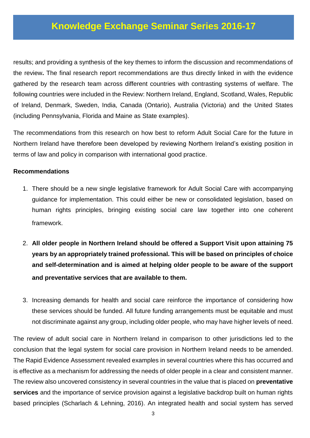results; and providing a synthesis of the key themes to inform the discussion and recommendations of the review**.** The final research report recommendations are thus directly linked in with the evidence gathered by the research team across different countries with contrasting systems of welfare. The following countries were included in the Review: Northern Ireland, England, Scotland, Wales, Republic of Ireland, Denmark, Sweden, India, Canada (Ontario), Australia (Victoria) and the United States (including Pennsylvania, Florida and Maine as State examples).

The recommendations from this research on how best to reform Adult Social Care for the future in Northern Ireland have therefore been developed by reviewing Northern Ireland's existing position in terms of law and policy in comparison with international good practice.

#### **Recommendations**

- 1. There should be a new single legislative framework for Adult Social Care with accompanying guidance for implementation. This could either be new or consolidated legislation, based on human rights principles, bringing existing social care law together into one coherent framework.
- 2. **All older people in Northern Ireland should be offered a Support Visit upon attaining 75 years by an appropriately trained professional. This will be based on principles of choice and self-determination and is aimed at helping older people to be aware of the support and preventative services that are available to them.**
- 3. Increasing demands for health and social care reinforce the importance of considering how these services should be funded. All future funding arrangements must be equitable and must not discriminate against any group, including older people, who may have higher levels of need.

The review of adult social care in Northern Ireland in comparison to other jurisdictions led to the conclusion that the legal system for social care provision in Northern Ireland needs to be amended. The Rapid Evidence Assessment revealed examples in several countries where this has occurred and is effective as a mechanism for addressing the needs of older people in a clear and consistent manner. The review also uncovered consistency in several countries in the value that is placed on **preventative services** and the importance of service provision against a legislative backdrop built on human rights based principles (Scharlach & Lehning, 2016). An integrated health and social system has served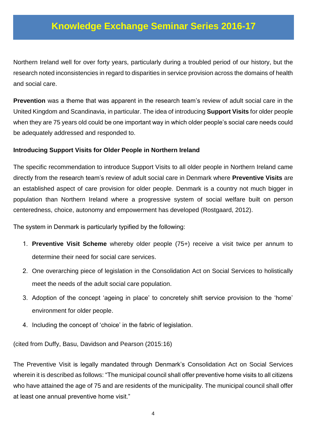Northern Ireland well for over forty years, particularly during a troubled period of our history, but the research noted inconsistencies in regard to disparities in service provision across the domains of health and social care.

**Prevention** was a theme that was apparent in the research team's review of adult social care in the United Kingdom and Scandinavia, in particular. The idea of introducing **Support Visits** for older people when they are 75 years old could be one important way in which older people's social care needs could be adequately addressed and responded to.

#### **Introducing Support Visits for Older People in Northern Ireland**

The specific recommendation to introduce Support Visits to all older people in Northern Ireland came directly from the research team's review of adult social care in Denmark where **Preventive Visits** are an established aspect of care provision for older people. Denmark is a country not much bigger in population than Northern Ireland where a progressive system of social welfare built on person centeredness, choice, autonomy and empowerment has developed (Rostgaard, 2012).

The system in Denmark is particularly typified by the following:

- 1. **Preventive Visit Scheme** whereby older people (75+) receive a visit twice per annum to determine their need for social care services.
- 2. One overarching piece of legislation in the Consolidation Act on Social Services to holistically meet the needs of the adult social care population.
- 3. Adoption of the concept 'ageing in place' to concretely shift service provision to the 'home' environment for older people.
- 4. Including the concept of 'choice' in the fabric of legislation.

(cited from Duffy, Basu, Davidson and Pearson (2015:16)

The Preventive Visit is legally mandated through Denmark's Consolidation Act on Social Services wherein it is described as follows: "The municipal council shall offer preventive home visits to all citizens who have attained the age of 75 and are residents of the municipality. The municipal council shall offer at least one annual preventive home visit."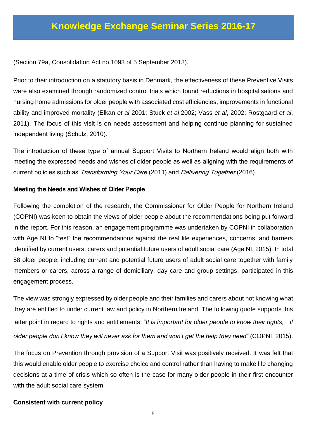(Section 79a, Consolidation Act no.1093 of 5 September 2013).

Prior to their introduction on a statutory basis in Denmark, the effectiveness of these Preventive Visits were also examined through randomized control trials which found reductions in hospitalisations and nursing home admissions for older people with associated cost efficiencies, improvements in functional ability and improved mortality (Elkan *et al* 2001; Stuck *et al*.2002; Vass *et al*, 2002; Rostgaard *et al*, 2011). The focus of this visit is on needs assessment and helping continue planning for sustained independent living (Schulz, 2010).

The introduction of these type of annual Support Visits to Northern Ireland would align both with meeting the expressed needs and wishes of older people as well as aligning with the requirements of current policies such as *Transforming Your Care* (2011) and *Delivering Together* (2016).

#### Meeting the Needs and Wishes of Older People

Following the completion of the research, the Commissioner for Older People for Northern Ireland (COPNI) was keen to obtain the views of older people about the recommendations being put forward in the report. For this reason, an engagement programme was undertaken by COPNI in collaboration with Age NI to "test" the recommendations against the real life experiences, concerns, and barriers identified by current users, carers and potential future users of adult social care (Age NI, 2015). In total 58 older people, including current and potential future users of adult social care together with family members or carers, across a range of domiciliary, day care and group settings, participated in this engagement process.

The view was strongly expressed by older people and their families and carers about not knowing what they are entitled to under current law and policy in Northern Ireland. The following quote supports this latter point in regard to rights and entitlements: "It is important for older people to know their rights, if *older people don't know they will never ask for them and won't get the help they need"* (COPNI, 2015).

The focus on Prevention through provision of a Support Visit was positively received. It was felt that this would enable older people to exercise choice and control rather than having to make life changing decisions at a time of crisis which so often is the case for many older people in their first encounter with the adult social care system.

#### **Consistent with current policy**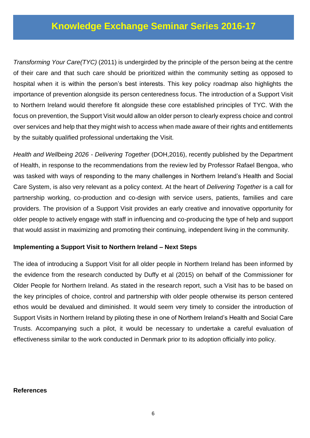*Transforming Your Care(TYC)* (2011) is undergirded by the principle of the person being at the centre of their care and that such care should be prioritized within the community setting as opposed to hospital when it is within the person's best interests. This key policy roadmap also highlights the importance of prevention alongside its person centeredness focus. The introduction of a Support Visit to Northern Ireland would therefore fit alongside these core established principles of TYC. With the focus on prevention, the Support Visit would allow an older person to clearly express choice and control over services and help that they might wish to access when made aware of their rights and entitlements by the suitably qualified professional undertaking the Visit.

*Health and Wellbeing 2026 - Delivering Together* (DOH,2016), recently published by the Department of Health, in response to the recommendations from the review led by Professor Rafael Bengoa, who was tasked with ways of responding to the many challenges in Northern Ireland's Health and Social Care System, is also very relevant as a policy context. At the heart of *Delivering Together* is a call for partnership working, co-production and co-design with service users, patients, families and care providers. The provision of a Support Visit provides an early creative and innovative opportunity for older people to actively engage with staff in influencing and co-producing the type of help and support that would assist in maximizing and promoting their continuing, independent living in the community.

#### **Implementing a Support Visit to Northern Ireland – Next Steps**

The idea of introducing a Support Visit for all older people in Northern Ireland has been informed by the evidence from the research conducted by Duffy et al (2015) on behalf of the Commissioner for Older People for Northern Ireland. As stated in the research report, such a Visit has to be based on the key principles of choice, control and partnership with older people otherwise its person centered ethos would be devalued and diminished. It would seem very timely to consider the introduction of Support Visits in Northern Ireland by piloting these in one of Northern Ireland's Health and Social Care Trusts. Accompanying such a pilot, it would be necessary to undertake a careful evaluation of effectiveness similar to the work conducted in Denmark prior to its adoption officially into policy.

#### **References**